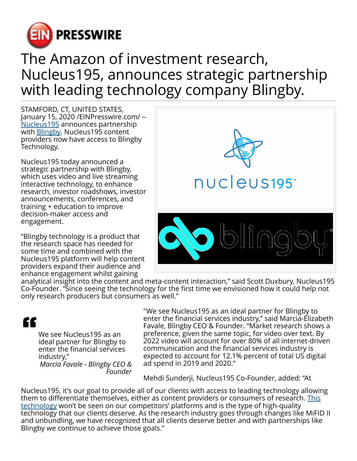

## The Amazon of investment research, Nucleus195, announces strategic partnership with leading technology company Blingby.

STAMFORD, CT, UNITED STATES, January 15, 2020 /[EINPresswire.com](http://www.einpresswire.com)/ -- [Nucleus195](http://nucleus195.com) announces partnership with [Blingby.](http://blingby.com) Nucleus195 content providers now have access to Blingby Technology.

Nucleus195 today announced a strategic partnership with Blingby, which uses video and live streaming interactive technology, to enhance research, investor roadshows, investor announcements, conferences, and training + education to improve decision-maker access and engagement.

"Blingby technology is a product that the research space has needed for some time and combined with the Nucleus195 platform will help content providers expand their audience and enhance engagement whilst gaining



analytical insight into the content and meta-content interaction," said Scott Duxbury, Nucleus195 Co-Founder. "Since seeing the technology for the first time we envisioned how it could help not only research producers but consumers as well."



We see Nucleus195 as an ideal partner for Blingby to enter the financial services industry," *Marcia Favale - Blingby CEO & Founder*

"We see Nucleus195 as an ideal partner for Blingby to enter the financial services industry," said Marcia-Elizabeth Favale, Blingby CEO & Founder. "Market research shows a preference, given the same topic, for video over text. By 2022 video will account for over 80% of all internet-driven communication and the financial services industry is expected to account for 12.1% percent of total US digital ad spend in 2019 and 2020."

Mehdi Sunderji, Nucleus195 Co-Founder, added: "At

Nucleus195, it's our goal to provide all of our clients with access to leading technology allowing them to differentiate themselves, either as content providers or consumers of research. [This](http://nucleus195.com) [technology](http://nucleus195.com) won't be seen on our competitors' platforms and is the type of high-quality technology that our clients deserve. As the research industry goes through changes like MiFID II and unbundling, we have recognized that all clients deserve better and with partnerships like Blingby we continue to achieve those goals."